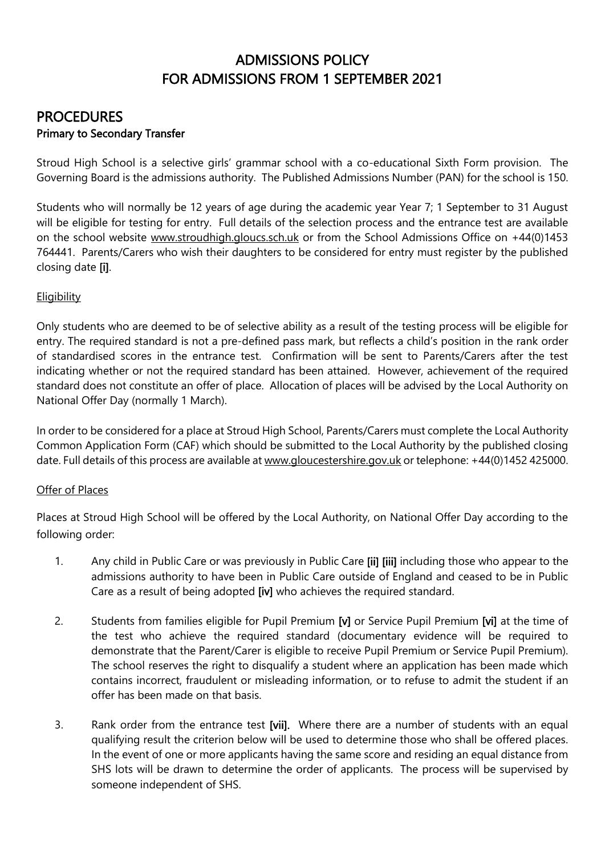# ADMISSIONS POLICY FOR ADMISSIONS FROM 1 SEPTEMBER 2021

## PROCEDURES Primary to Secondary Transfer

Stroud High School is a selective girls' grammar school with a co-educational Sixth Form provision. The Governing Board is the admissions authority. The Published Admissions Number (PAN) for the school is 150.

Students who will normally be 12 years of age during the academic year Year 7; 1 September to 31 August will be eligible for testing for entry. Full details of the selection process and the entrance test are available on the school website [www.stroudhigh.gloucs.sch.uk](http://www.stroudhigh.gloucs.sch.uk/) or from the School Admissions Office on +44(0)1453 764441. Parents/Carers who wish their daughters to be considered for entry must register by the published closing date [i].

## **Eligibility**

Only students who are deemed to be of selective ability as a result of the testing process will be eligible for entry. The required standard is not a pre-defined pass mark, but reflects a child's position in the rank order of standardised scores in the entrance test. Confirmation will be sent to Parents/Carers after the test indicating whether or not the required standard has been attained. However, achievement of the required standard does not constitute an offer of place. Allocation of places will be advised by the Local Authority on National Offer Day (normally 1 March).

In order to be considered for a place at Stroud High School, Parents/Carers must complete the Local Authority Common Application Form (CAF) which should be submitted to the Local Authority by the published closing date. Full details of this process are available at [www.gloucestershire.gov.uk](http://www.gloucestershire.gov.uk/) or telephone: +44(0)1452 425000.

## Offer of Places

Places at Stroud High School will be offered by the Local Authority, on National Offer Day according to the following order:

- 1. Any child in Public Care or was previously in Public Care [ii] [iii] including those who appear to the admissions authority to have been in Public Care outside of England and ceased to be in Public Care as a result of being adopted [iv] who achieves the required standard.
- 2. Students from families eligible for Pupil Premium [v] or Service Pupil Premium [vi] at the time of the test who achieve the required standard (documentary evidence will be required to demonstrate that the Parent/Carer is eligible to receive Pupil Premium or Service Pupil Premium). The school reserves the right to disqualify a student where an application has been made which contains incorrect, fraudulent or misleading information, or to refuse to admit the student if an offer has been made on that basis.
- 3. Rank order from the entrance test [vii]. Where there are a number of students with an equal qualifying result the criterion below will be used to determine those who shall be offered places. In the event of one or more applicants having the same score and residing an equal distance from SHS lots will be drawn to determine the order of applicants. The process will be supervised by someone independent of SHS.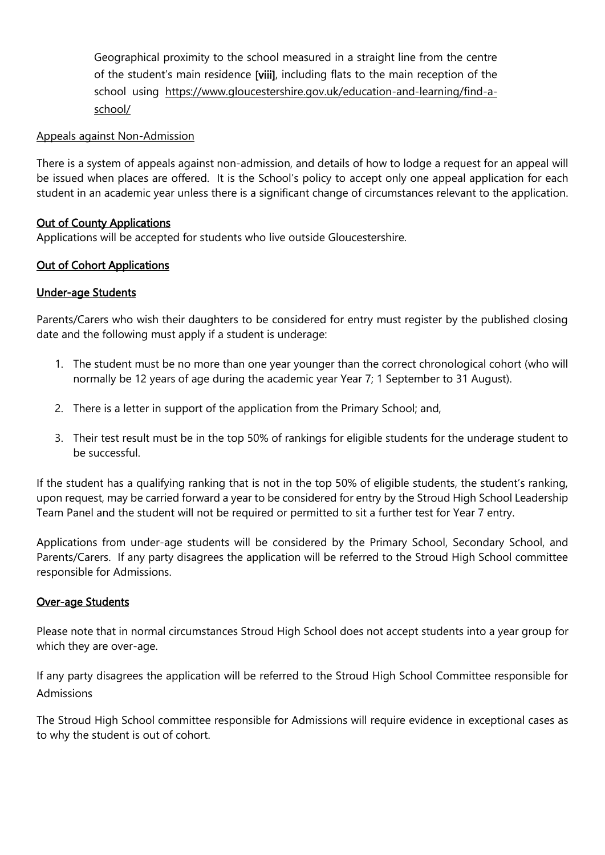Geographical proximity to the school measured in a straight line from the centre of the student's main residence [viii], including flats to the main reception of the school using [https://www.gloucestershire.gov.uk/education-and-learning/find-a](https://www.gloucestershire.gov.uk/education-and-learning/find-a-school/)[school/](https://www.gloucestershire.gov.uk/education-and-learning/find-a-school/)

## Appeals against Non-Admission

There is a system of appeals against non-admission, and details of how to lodge a request for an appeal will be issued when places are offered. It is the School's policy to accept only one appeal application for each student in an academic year unless there is a significant change of circumstances relevant to the application.

#### Out of County Applications

Applications will be accepted for students who live outside Gloucestershire.

## Out of Cohort Applications

#### Under-age Students

Parents/Carers who wish their daughters to be considered for entry must register by the published closing date and the following must apply if a student is underage:

- 1. The student must be no more than one year younger than the correct chronological cohort (who will normally be 12 years of age during the academic year Year 7; 1 September to 31 August).
- 2. There is a letter in support of the application from the Primary School; and,
- 3. Their test result must be in the top 50% of rankings for eligible students for the underage student to be successful.

If the student has a qualifying ranking that is not in the top 50% of eligible students, the student's ranking, upon request, may be carried forward a year to be considered for entry by the Stroud High School Leadership Team Panel and the student will not be required or permitted to sit a further test for Year 7 entry.

Applications from under-age students will be considered by the Primary School, Secondary School, and Parents/Carers. If any party disagrees the application will be referred to the Stroud High School committee responsible for Admissions.

#### Over-age Students

Please note that in normal circumstances Stroud High School does not accept students into a year group for which they are over-age.

If any party disagrees the application will be referred to the Stroud High School Committee responsible for Admissions

The Stroud High School committee responsible for Admissions will require evidence in exceptional cases as to why the student is out of cohort.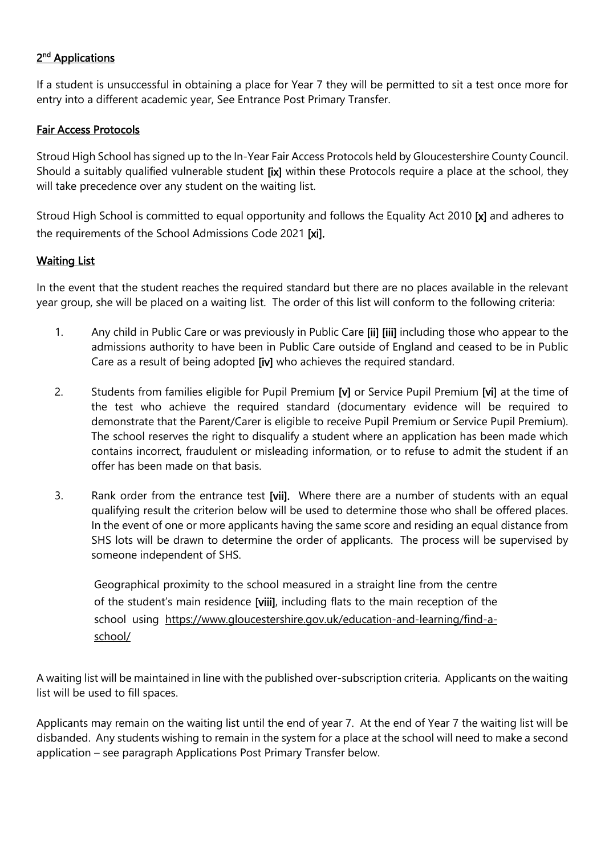## 2<sup>nd</sup> Applications

If a student is unsuccessful in obtaining a place for Year 7 they will be permitted to sit a test once more for entry into a different academic year, See Entrance Post Primary Transfer.

#### Fair Access Protocols

Stroud High School has signed up to the In-Year Fair Access Protocols held by Gloucestershire County Council. Should a suitably qualified vulnerable student [ix] within these Protocols require a place at the school, they will take precedence over any student on the waiting list.

Stroud High School is committed to equal opportunity and follows the Equality Act 2010 [x] and adheres to the requirements of the School Admissions Code 2021 [xi].

## Waiting List

In the event that the student reaches the required standard but there are no places available in the relevant year group, she will be placed on a waiting list. The order of this list will conform to the following criteria:

- 1. Any child in Public Care or was previously in Public Care [ii] [iii] including those who appear to the admissions authority to have been in Public Care outside of England and ceased to be in Public Care as a result of being adopted [iv] who achieves the required standard.
- 2. Students from families eligible for Pupil Premium [v] or Service Pupil Premium [vi] at the time of the test who achieve the required standard (documentary evidence will be required to demonstrate that the Parent/Carer is eligible to receive Pupil Premium or Service Pupil Premium). The school reserves the right to disqualify a student where an application has been made which contains incorrect, fraudulent or misleading information, or to refuse to admit the student if an offer has been made on that basis.
- 3. Rank order from the entrance test [vii]. Where there are a number of students with an equal qualifying result the criterion below will be used to determine those who shall be offered places. In the event of one or more applicants having the same score and residing an equal distance from SHS lots will be drawn to determine the order of applicants. The process will be supervised by someone independent of SHS.

Geographical proximity to the school measured in a straight line from the centre of the student's main residence [viii], including flats to the main reception of the school using [https://www.gloucestershire.gov.uk/education-and-learning/find-a](https://www.gloucestershire.gov.uk/education-and-learning/find-a-school/)[school/](https://www.gloucestershire.gov.uk/education-and-learning/find-a-school/)

A waiting list will be maintained in line with the published over-subscription criteria. Applicants on the waiting list will be used to fill spaces.

Applicants may remain on the waiting list until the end of year 7. At the end of Year 7 the waiting list will be disbanded. Any students wishing to remain in the system for a place at the school will need to make a second application – see paragraph Applications Post Primary Transfer below.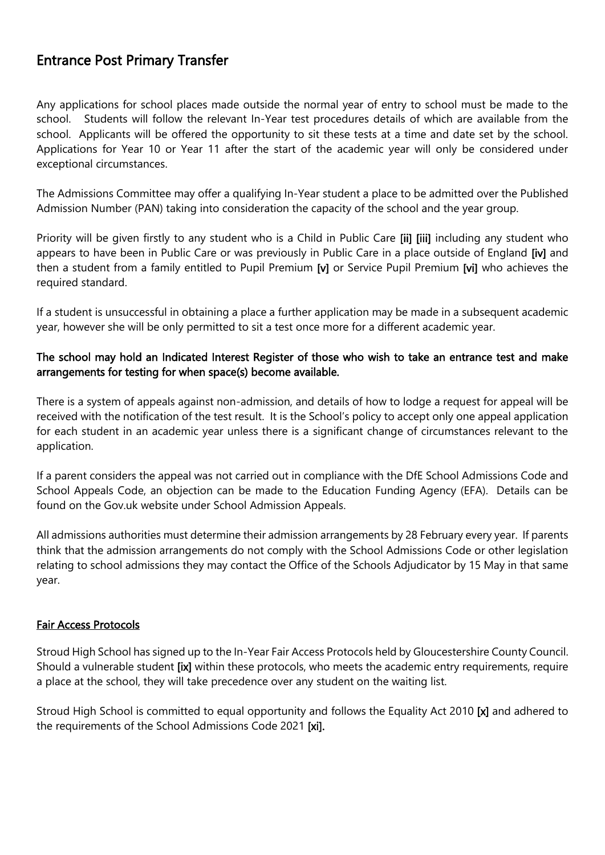# Entrance Post Primary Transfer

Any applications for school places made outside the normal year of entry to school must be made to the school. Students will follow the relevant In-Year test procedures details of which are available from the school. Applicants will be offered the opportunity to sit these tests at a time and date set by the school. Applications for Year 10 or Year 11 after the start of the academic year will only be considered under exceptional circumstances.

The Admissions Committee may offer a qualifying In-Year student a place to be admitted over the Published Admission Number (PAN) taking into consideration the capacity of the school and the year group.

Priority will be given firstly to any student who is a Child in Public Care [ii] [iii] including any student who appears to have been in Public Care or was previously in Public Care in a place outside of England [iv] and then a student from a family entitled to Pupil Premium [v] or Service Pupil Premium [vi] who achieves the required standard.

If a student is unsuccessful in obtaining a place a further application may be made in a subsequent academic year, however she will be only permitted to sit a test once more for a different academic year.

## The school may hold an Indicated Interest Register of those who wish to take an entrance test and make arrangements for testing for when space(s) become available.

There is a system of appeals against non-admission, and details of how to lodge a request for appeal will be received with the notification of the test result. It is the School's policy to accept only one appeal application for each student in an academic year unless there is a significant change of circumstances relevant to the application.

If a parent considers the appeal was not carried out in compliance with the DfE School Admissions Code and School Appeals Code, an objection can be made to the Education Funding Agency (EFA). Details can be found on the Gov.uk website under School Admission Appeals.

All admissions authorities must determine their admission arrangements by 28 February every year. If parents think that the admission arrangements do not comply with the School Admissions Code or other legislation relating to school admissions they may contact the Office of the Schools Adjudicator by 15 May in that same year.

## Fair Access Protocols

Stroud High School has signed up to the In-Year Fair Access Protocols held by Gloucestershire County Council. Should a vulnerable student [ix] within these protocols, who meets the academic entry requirements, require a place at the school, they will take precedence over any student on the waiting list.

Stroud High School is committed to equal opportunity and follows the Equality Act 2010 [x] and adhered to the requirements of the School Admissions Code 2021 [xi].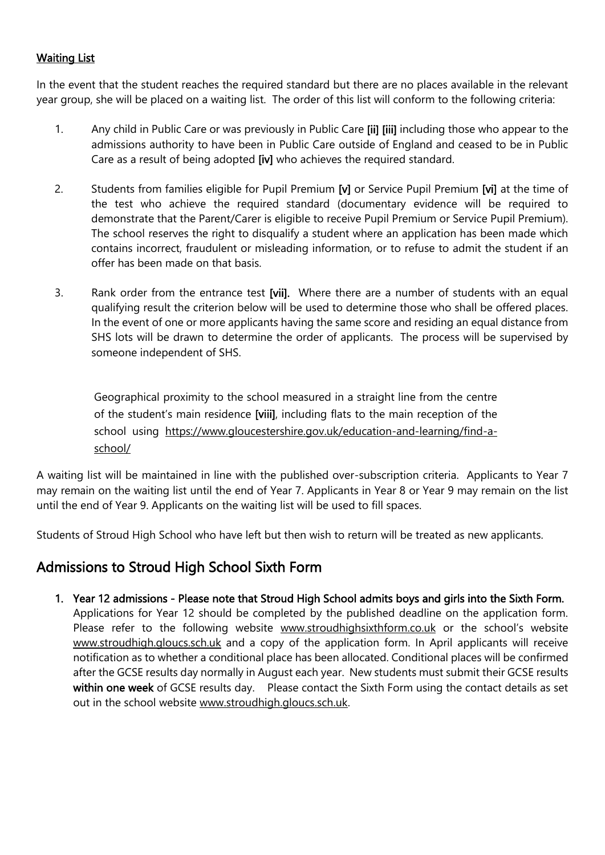## Waiting List

In the event that the student reaches the required standard but there are no places available in the relevant year group, she will be placed on a waiting list. The order of this list will conform to the following criteria:

- 1. Any child in Public Care or was previously in Public Care [ii] [iii] including those who appear to the admissions authority to have been in Public Care outside of England and ceased to be in Public Care as a result of being adopted [iv] who achieves the required standard.
- 2. Students from families eligible for Pupil Premium [v] or Service Pupil Premium [vi] at the time of the test who achieve the required standard (documentary evidence will be required to demonstrate that the Parent/Carer is eligible to receive Pupil Premium or Service Pupil Premium). The school reserves the right to disqualify a student where an application has been made which contains incorrect, fraudulent or misleading information, or to refuse to admit the student if an offer has been made on that basis.
- 3. Rank order from the entrance test [vii]. Where there are a number of students with an equal qualifying result the criterion below will be used to determine those who shall be offered places. In the event of one or more applicants having the same score and residing an equal distance from SHS lots will be drawn to determine the order of applicants. The process will be supervised by someone independent of SHS.

Geographical proximity to the school measured in a straight line from the centre of the student's main residence [viii], including flats to the main reception of the school using [https://www.gloucestershire.gov.uk/education-and-learning/find-a](https://www.gloucestershire.gov.uk/education-and-learning/find-a-school/)[school/](https://www.gloucestershire.gov.uk/education-and-learning/find-a-school/)

A waiting list will be maintained in line with the published over-subscription criteria. Applicants to Year 7 may remain on the waiting list until the end of Year 7. Applicants in Year 8 or Year 9 may remain on the list until the end of Year 9. Applicants on the waiting list will be used to fill spaces.

Students of Stroud High School who have left but then wish to return will be treated as new applicants.

## Admissions to Stroud High School Sixth Form

- 1. Year 12 admissions Please note that Stroud High School admits boys and girls into the Sixth Form.
	- Applications for Year 12 should be completed by the published deadline on the application form. Please refer to the following website [www.stroudhighsixthform.co.uk](http://www.stroudhighsixthform.co.uk/) or the school's website [www.stroudhigh.gloucs.sch.uk](http://www.stroudhigh.gloucs.sch.uk/) and a copy of the application form. In April applicants will receive notification as to whether a conditional place has been allocated. Conditional places will be confirmed after the GCSE results day normally in August each year. New students must submit their GCSE results within one week of GCSE results day. Please contact the Sixth Form using the contact details as set out in the school website [www.stroudhigh.gloucs.sch.uk.](http://www.stroudhigh.gloucs.sch.uk/)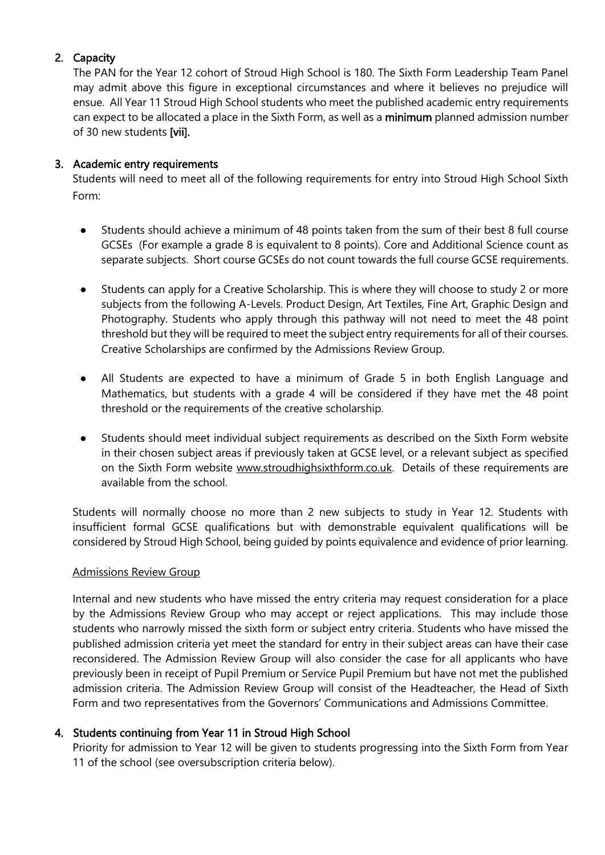## 2. Capacity

The PAN for the Year 12 cohort of Stroud High School is 180. The Sixth Form Leadership Team Panel may admit above this figure in exceptional circumstances and where it believes no prejudice will ensue. All Year 11 Stroud High School students who meet the published academic entry requirements can expect to be allocated a place in the Sixth Form, as well as a minimum planned admission number of 30 new students [vii].

## 3. Academic entry requirements

Students will need to meet all of the following requirements for entry into Stroud High School Sixth Form:

- Students should achieve a minimum of 48 points taken from the sum of their best 8 full course GCSEs (For example a grade 8 is equivalent to 8 points). Core and Additional Science count as separate subjects. Short course GCSEs do not count towards the full course GCSE requirements.
- Students can apply for a Creative Scholarship. This is where they will choose to study 2 or more subjects from the following A-Levels. Product Design, Art Textiles, Fine Art, Graphic Design and Photography. Students who apply through this pathway will not need to meet the 48 point threshold but they will be required to meet the subject entry requirements for all of their courses. Creative Scholarships are confirmed by the Admissions Review Group.
- All Students are expected to have a minimum of Grade 5 in both English Language and Mathematics, but students with a grade 4 will be considered if they have met the 48 point threshold or the requirements of the creative scholarship.
- Students should meet individual subject requirements as described on the Sixth Form website in their chosen subject areas if previously taken at GCSE level, or a relevant subject as specified on the Sixth Form website [www.stroudhighsixthform.co.uk.](http://www.stroudhighsixthform.co.uk/) Details of these requirements are available from the school.

Students will normally choose no more than 2 new subjects to study in Year 12. Students with insufficient formal GCSE qualifications but with demonstrable equivalent qualifications will be considered by Stroud High School, being guided by points equivalence and evidence of prior learning.

## Admissions Review Group

Internal and new students who have missed the entry criteria may request consideration for a place by the Admissions Review Group who may accept or reject applications. This may include those students who narrowly missed the sixth form or subject entry criteria. Students who have missed the published admission criteria yet meet the standard for entry in their subject areas can have their case reconsidered. The Admission Review Group will also consider the case for all applicants who have previously been in receipt of Pupil Premium or Service Pupil Premium but have not met the published admission criteria. The Admission Review Group will consist of the Headteacher, the Head of Sixth Form and two representatives from the Governors' Communications and Admissions Committee.

## 4. Students continuing from Year 11 in Stroud High School

Priority for admission to Year 12 will be given to students progressing into the Sixth Form from Year 11 of the school (see oversubscription criteria below).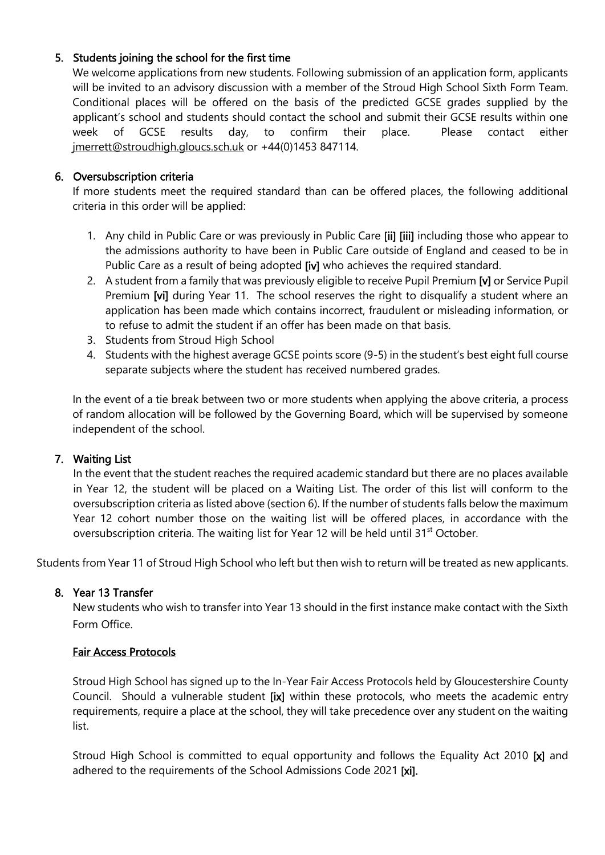## 5. Students joining the school for the first time

We welcome applications from new students. Following submission of an application form, applicants will be invited to an advisory discussion with a member of the Stroud High School Sixth Form Team. Conditional places will be offered on the basis of the predicted GCSE grades supplied by the applicant's school and students should contact the school and submit their GCSE results within one week of GCSE results day, to confirm their place. Please contact either [jmerrett@stroudhigh.gloucs.sch.uk](mailto:jmerrett@stroudhigh.gloucs.sch.uk) or +44(0)1453 847114.

## 6. Oversubscription criteria

If more students meet the required standard than can be offered places, the following additional criteria in this order will be applied:

- 1. Any child in Public Care or was previously in Public Care [ii] [iii] including those who appear to the admissions authority to have been in Public Care outside of England and ceased to be in Public Care as a result of being adopted [iv] who achieves the required standard.
- 2. A student from a family that was previously eligible to receive Pupil Premium [v] or Service Pupil Premium [vi] during Year 11. The school reserves the right to disqualify a student where an application has been made which contains incorrect, fraudulent or misleading information, or to refuse to admit the student if an offer has been made on that basis.
- 3. Students from Stroud High School
- 4. Students with the highest average GCSE points score (9-5) in the student's best eight full course separate subjects where the student has received numbered grades.

In the event of a tie break between two or more students when applying the above criteria, a process of random allocation will be followed by the Governing Board, which will be supervised by someone independent of the school.

## 7. Waiting List

In the event that the student reaches the required academic standard but there are no places available in Year 12, the student will be placed on a Waiting List. The order of this list will conform to the oversubscription criteria as listed above (section 6). If the number of students falls below the maximum Year 12 cohort number those on the waiting list will be offered places, in accordance with the oversubscription criteria. The waiting list for Year 12 will be held until 31<sup>st</sup> October.

Students from Year 11 of Stroud High School who left but then wish to return will be treated as new applicants.

## 8. Year 13 Transfer

New students who wish to transfer into Year 13 should in the first instance make contact with the Sixth Form Office.

## Fair Access Protocols

Stroud High School has signed up to the In-Year Fair Access Protocols held by Gloucestershire County Council. Should a vulnerable student [ix] within these protocols, who meets the academic entry requirements, require a place at the school, they will take precedence over any student on the waiting list.

Stroud High School is committed to equal opportunity and follows the Equality Act 2010 [x] and adhered to the requirements of the School Admissions Code 2021 [xi].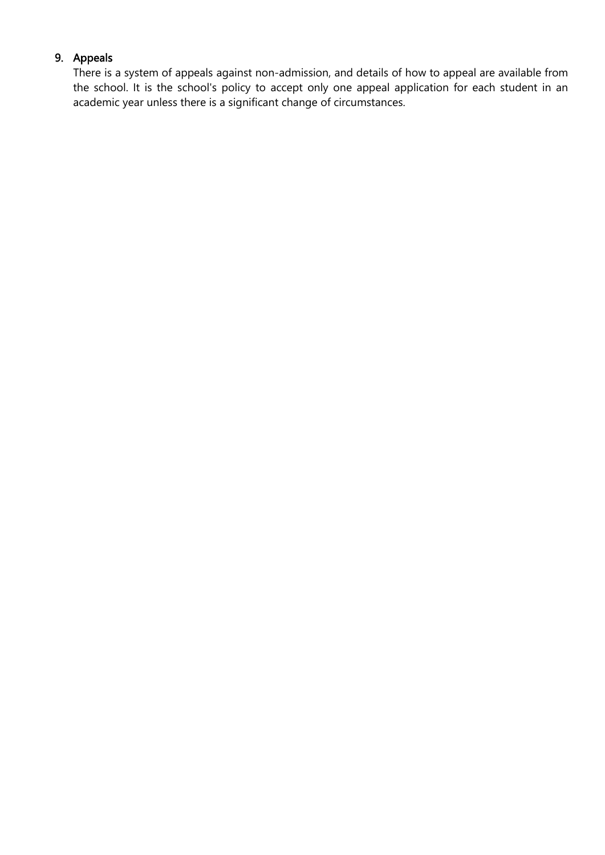## 9. Appeals

There is a system of appeals against non-admission, and details of how to appeal are available from the school. It is the school's policy to accept only one appeal application for each student in an academic year unless there is a significant change of circumstances.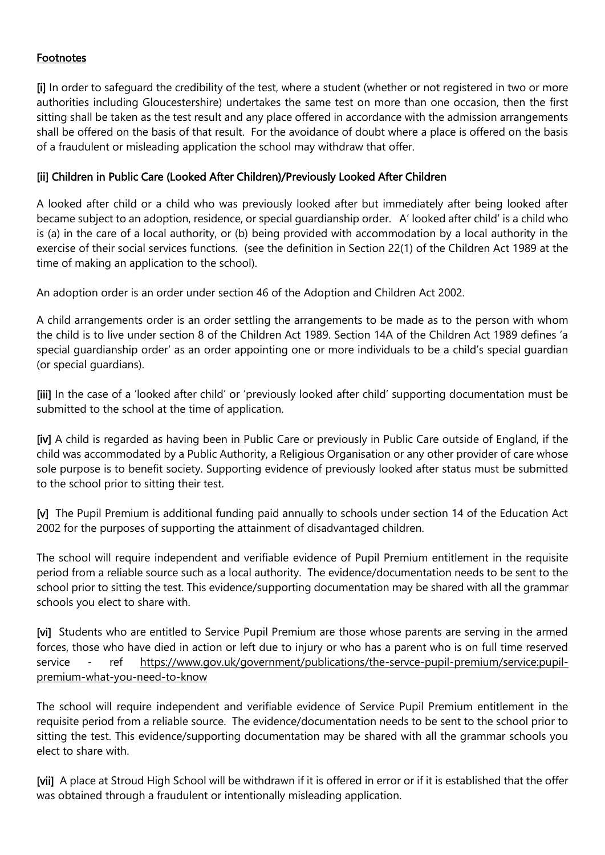## Footnotes

[i] In order to safeguard the credibility of the test, where a student (whether or not registered in two or more authorities including Gloucestershire) undertakes the same test on more than one occasion, then the first sitting shall be taken as the test result and any place offered in accordance with the admission arrangements shall be offered on the basis of that result. For the avoidance of doubt where a place is offered on the basis of a fraudulent or misleading application the school may withdraw that offer.

## [ii] Children in Public Care (Looked After Children)/Previously Looked After Children

A looked after child or a child who was previously looked after but immediately after being looked after became subject to an adoption, residence, or special guardianship order. A' looked after child' is a child who is (a) in the care of a local authority, or (b) being provided with accommodation by a local authority in the exercise of their social services functions. (see the definition in Section 22(1) of the Children Act 1989 at the time of making an application to the school).

An adoption order is an order under section 46 of the Adoption and Children Act 2002.

A child arrangements order is an order settling the arrangements to be made as to the person with whom the child is to live under section 8 of the Children Act 1989. Section 14A of the Children Act 1989 defines 'a special guardianship order' as an order appointing one or more individuals to be a child's special guardian (or special guardians).

[iii] In the case of a 'looked after child' or 'previously looked after child' supporting documentation must be submitted to the school at the time of application.

[iv] A child is regarded as having been in Public Care or previously in Public Care outside of England, if the child was accommodated by a Public Authority, a Religious Organisation or any other provider of care whose sole purpose is to benefit society. Supporting evidence of previously looked after status must be submitted to the school prior to sitting their test.

[v] The Pupil Premium is additional funding paid annually to schools under section 14 of the Education Act 2002 for the purposes of supporting the attainment of disadvantaged children.

The school will require independent and verifiable evidence of Pupil Premium entitlement in the requisite period from a reliable source such as a local authority. The evidence/documentation needs to be sent to the school prior to sitting the test. This evidence/supporting documentation may be shared with all the grammar schools you elect to share with.

[vi] Students who are entitled to Service Pupil Premium are those whose parents are serving in the armed forces, those who have died in action or left due to injury or who has a parent who is on full time reserved service - ref [https://www.gov.uk/government/publications/the-servce-pupil-premium/service:pupil](https://www.gov.uk/government/publications/the-servce-pupil-premium/service:pupil-premium-what-you-need-to-know)[premium-what-you-need-to-know](https://www.gov.uk/government/publications/the-servce-pupil-premium/service:pupil-premium-what-you-need-to-know)

The school will require independent and verifiable evidence of Service Pupil Premium entitlement in the requisite period from a reliable source. The evidence/documentation needs to be sent to the school prior to sitting the test. This evidence/supporting documentation may be shared with all the grammar schools you elect to share with.

[vii] A place at Stroud High School will be withdrawn if it is offered in error or if it is established that the offer was obtained through a fraudulent or intentionally misleading application.